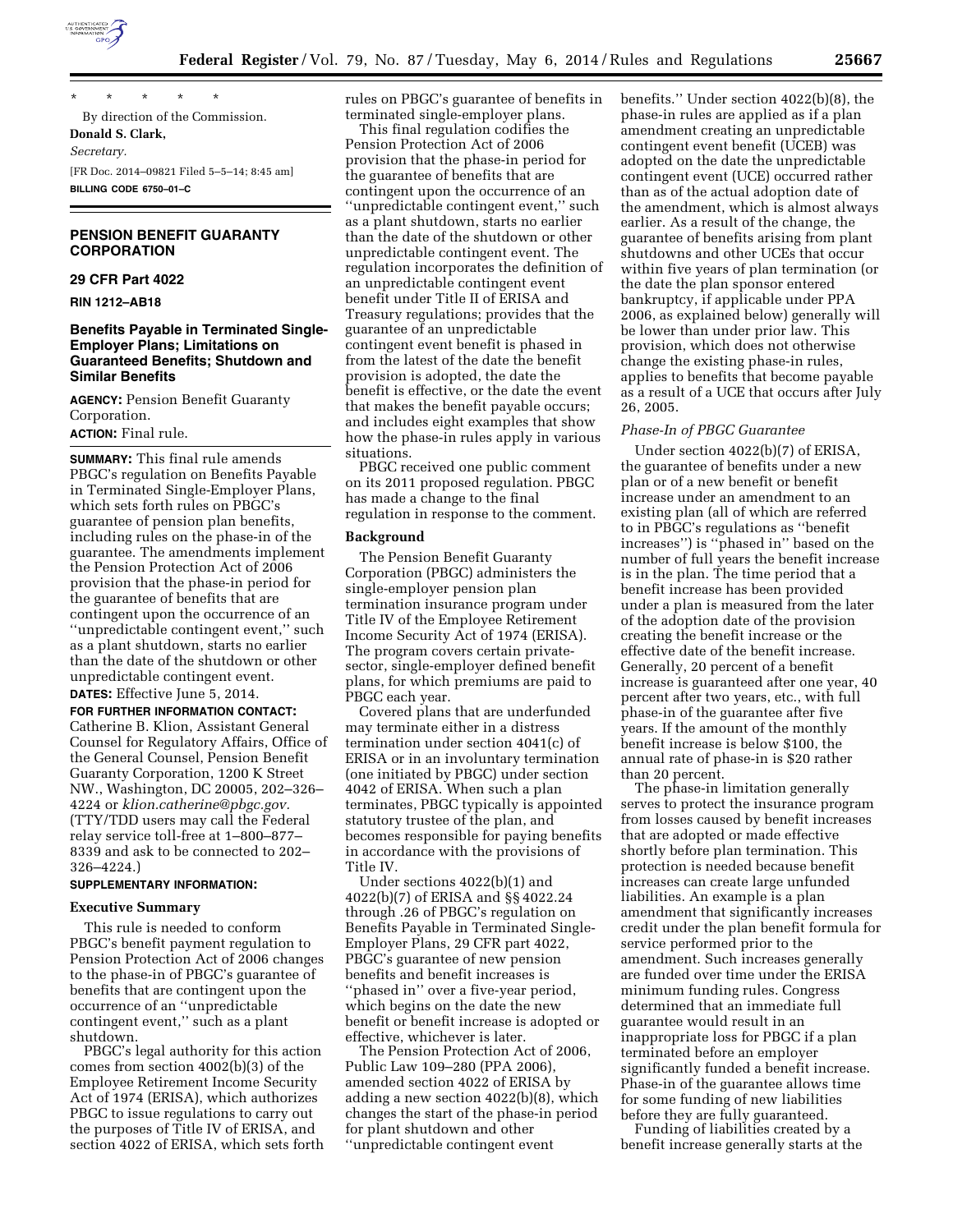

\* \* \* \* \* By direction of the Commission. **Donald S. Clark,**  *Secretary.*  [FR Doc. 2014–09821 Filed 5–5–14; 8:45 am] **BILLING CODE 6750–01–C** 

## **PENSION BENEFIT GUARANTY CORPORATION**

### **29 CFR Part 4022**

**RIN 1212–AB18** 

## **Benefits Payable in Terminated Single-Employer Plans; Limitations on Guaranteed Benefits; Shutdown and Similar Benefits**

**AGENCY:** Pension Benefit Guaranty Corporation.

# **ACTION:** Final rule.

**SUMMARY:** This final rule amends PBGC's regulation on Benefits Payable in Terminated Single-Employer Plans, which sets forth rules on PBGC's guarantee of pension plan benefits, including rules on the phase-in of the guarantee. The amendments implement the Pension Protection Act of 2006 provision that the phase-in period for the guarantee of benefits that are contingent upon the occurrence of an ''unpredictable contingent event,'' such as a plant shutdown, starts no earlier than the date of the shutdown or other unpredictable contingent event. **DATES:** Effective June 5, 2014.

**FOR FURTHER INFORMATION CONTACT:**  Catherine B. Klion, Assistant General Counsel for Regulatory Affairs, Office of the General Counsel, Pension Benefit Guaranty Corporation, 1200 K Street NW., Washington, DC 20005, 202–326– 4224 or *[klion.catherine@pbgc.gov.](mailto:klion.catherine@pbgc.gov)*  (TTY/TDD users may call the Federal relay service toll-free at 1–800–877– 8339 and ask to be connected to 202– 326–4224.)

#### **SUPPLEMENTARY INFORMATION:**

### **Executive Summary**

This rule is needed to conform PBGC's benefit payment regulation to Pension Protection Act of 2006 changes to the phase-in of PBGC's guarantee of benefits that are contingent upon the occurrence of an ''unpredictable contingent event,'' such as a plant shutdown.

PBGC's legal authority for this action comes from section 4002(b)(3) of the Employee Retirement Income Security Act of 1974 (ERISA), which authorizes PBGC to issue regulations to carry out the purposes of Title IV of ERISA, and section 4022 of ERISA, which sets forth rules on PBGC's guarantee of benefits in terminated single-employer plans.

This final regulation codifies the Pension Protection Act of 2006 provision that the phase-in period for the guarantee of benefits that are contingent upon the occurrence of an

''unpredictable contingent event,'' such as a plant shutdown, starts no earlier than the date of the shutdown or other unpredictable contingent event. The regulation incorporates the definition of an unpredictable contingent event benefit under Title II of ERISA and Treasury regulations; provides that the guarantee of an unpredictable contingent event benefit is phased in from the latest of the date the benefit provision is adopted, the date the benefit is effective, or the date the event that makes the benefit payable occurs; and includes eight examples that show how the phase-in rules apply in various situations.

PBGC received one public comment on its 2011 proposed regulation. PBGC has made a change to the final regulation in response to the comment.

#### **Background**

The Pension Benefit Guaranty Corporation (PBGC) administers the single-employer pension plan termination insurance program under Title IV of the Employee Retirement Income Security Act of 1974 (ERISA). The program covers certain privatesector, single-employer defined benefit plans, for which premiums are paid to PBGC each year.

Covered plans that are underfunded may terminate either in a distress termination under section 4041(c) of ERISA or in an involuntary termination (one initiated by PBGC) under section 4042 of ERISA. When such a plan terminates, PBGC typically is appointed statutory trustee of the plan, and becomes responsible for paying benefits in accordance with the provisions of Title IV.

Under sections 4022(b)(1) and 4022(b)(7) of ERISA and §§ 4022.24 through .26 of PBGC's regulation on Benefits Payable in Terminated Single-Employer Plans, 29 CFR part 4022, PBGC's guarantee of new pension benefits and benefit increases is ''phased in'' over a five-year period, which begins on the date the new benefit or benefit increase is adopted or effective, whichever is later.

The Pension Protection Act of 2006, Public Law 109–280 (PPA 2006), amended section 4022 of ERISA by adding a new section 4022(b)(8), which changes the start of the phase-in period for plant shutdown and other ''unpredictable contingent event

benefits.'' Under section 4022(b)(8), the phase-in rules are applied as if a plan amendment creating an unpredictable contingent event benefit (UCEB) was adopted on the date the unpredictable contingent event (UCE) occurred rather than as of the actual adoption date of the amendment, which is almost always earlier. As a result of the change, the guarantee of benefits arising from plant shutdowns and other UCEs that occur within five years of plan termination (or the date the plan sponsor entered bankruptcy, if applicable under PPA 2006, as explained below) generally will be lower than under prior law. This provision, which does not otherwise change the existing phase-in rules, applies to benefits that become payable as a result of a UCE that occurs after July 26, 2005.

### *Phase-In of PBGC Guarantee*

Under section 4022(b)(7) of ERISA, the guarantee of benefits under a new plan or of a new benefit or benefit increase under an amendment to an existing plan (all of which are referred to in PBGC's regulations as ''benefit increases'') is ''phased in'' based on the number of full years the benefit increase is in the plan. The time period that a benefit increase has been provided under a plan is measured from the later of the adoption date of the provision creating the benefit increase or the effective date of the benefit increase. Generally, 20 percent of a benefit increase is guaranteed after one year, 40 percent after two years, etc., with full phase-in of the guarantee after five years. If the amount of the monthly benefit increase is below \$100, the annual rate of phase-in is \$20 rather than 20 percent.

The phase-in limitation generally serves to protect the insurance program from losses caused by benefit increases that are adopted or made effective shortly before plan termination. This protection is needed because benefit increases can create large unfunded liabilities. An example is a plan amendment that significantly increases credit under the plan benefit formula for service performed prior to the amendment. Such increases generally are funded over time under the ERISA minimum funding rules. Congress determined that an immediate full guarantee would result in an inappropriate loss for PBGC if a plan terminated before an employer significantly funded a benefit increase. Phase-in of the guarantee allows time for some funding of new liabilities before they are fully guaranteed.

Funding of liabilities created by a benefit increase generally starts at the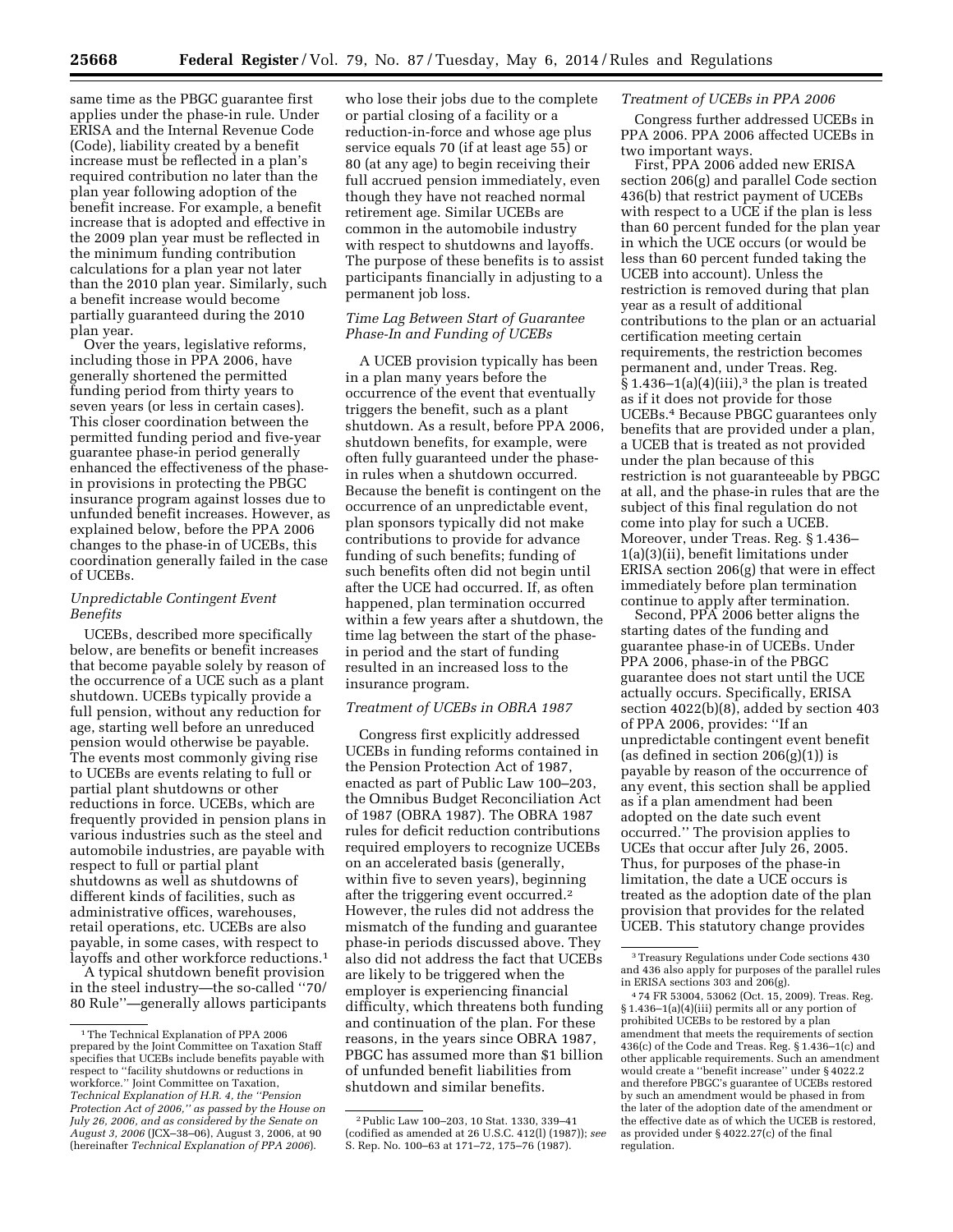same time as the PBGC guarantee first applies under the phase-in rule. Under ERISA and the Internal Revenue Code (Code), liability created by a benefit increase must be reflected in a plan's required contribution no later than the plan year following adoption of the benefit increase. For example, a benefit increase that is adopted and effective in the 2009 plan year must be reflected in the minimum funding contribution calculations for a plan year not later than the 2010 plan year. Similarly, such a benefit increase would become partially guaranteed during the 2010 plan year.

Over the years, legislative reforms, including those in PPA 2006, have generally shortened the permitted funding period from thirty years to seven years (or less in certain cases). This closer coordination between the permitted funding period and five-year guarantee phase-in period generally enhanced the effectiveness of the phasein provisions in protecting the PBGC insurance program against losses due to unfunded benefit increases. However, as explained below, before the PPA 2006 changes to the phase-in of UCEBs, this coordination generally failed in the case of UCEBs.

## *Unpredictable Contingent Event Benefits*

UCEBs, described more specifically below, are benefits or benefit increases that become payable solely by reason of the occurrence of a UCE such as a plant shutdown. UCEBs typically provide a full pension, without any reduction for age, starting well before an unreduced pension would otherwise be payable. The events most commonly giving rise to UCEBs are events relating to full or partial plant shutdowns or other reductions in force. UCEBs, which are frequently provided in pension plans in various industries such as the steel and automobile industries, are payable with respect to full or partial plant shutdowns as well as shutdowns of different kinds of facilities, such as administrative offices, warehouses, retail operations, etc. UCEBs are also payable, in some cases, with respect to layoffs and other workforce reductions.1

A typical shutdown benefit provision in the steel industry—the so-called ''70/ 80 Rule''—generally allows participants

who lose their jobs due to the complete or partial closing of a facility or a reduction-in-force and whose age plus service equals 70 (if at least age 55) or 80 (at any age) to begin receiving their full accrued pension immediately, even though they have not reached normal retirement age. Similar UCEBs are common in the automobile industry with respect to shutdowns and layoffs. The purpose of these benefits is to assist participants financially in adjusting to a permanent job loss.

## *Time Lag Between Start of Guarantee Phase-In and Funding of UCEBs*

A UCEB provision typically has been in a plan many years before the occurrence of the event that eventually triggers the benefit, such as a plant shutdown. As a result, before PPA 2006, shutdown benefits, for example, were often fully guaranteed under the phasein rules when a shutdown occurred. Because the benefit is contingent on the occurrence of an unpredictable event, plan sponsors typically did not make contributions to provide for advance funding of such benefits; funding of such benefits often did not begin until after the UCE had occurred. If, as often happened, plan termination occurred within a few years after a shutdown, the time lag between the start of the phasein period and the start of funding resulted in an increased loss to the insurance program.

### *Treatment of UCEBs in OBRA 1987*

Congress first explicitly addressed UCEBs in funding reforms contained in the Pension Protection Act of 1987, enacted as part of Public Law 100–203, the Omnibus Budget Reconciliation Act of 1987 (OBRA 1987). The OBRA 1987 rules for deficit reduction contributions required employers to recognize UCEBs on an accelerated basis (generally, within five to seven years), beginning after the triggering event occurred.2 However, the rules did not address the mismatch of the funding and guarantee phase-in periods discussed above. They also did not address the fact that UCEBs are likely to be triggered when the employer is experiencing financial difficulty, which threatens both funding and continuation of the plan. For these reasons, in the years since OBRA 1987, PBGC has assumed more than \$1 billion of unfunded benefit liabilities from shutdown and similar benefits.

#### *Treatment of UCEBs in PPA 2006*

Congress further addressed UCEBs in PPA 2006. PPA 2006 affected UCEBs in two important ways.

First, PPA 2006 added new ERISA section 206(g) and parallel Code section 436(b) that restrict payment of UCEBs with respect to a UCE if the plan is less than 60 percent funded for the plan year in which the UCE occurs (or would be less than 60 percent funded taking the UCEB into account). Unless the restriction is removed during that plan year as a result of additional contributions to the plan or an actuarial certification meeting certain requirements, the restriction becomes permanent and, under Treas. Reg.  $\hat{\S}$  1.436–1(a)(4)(iii),<sup>3</sup> the plan is treated as if it does not provide for those UCEBs.4 Because PBGC guarantees only benefits that are provided under a plan, a UCEB that is treated as not provided under the plan because of this restriction is not guaranteeable by PBGC at all, and the phase-in rules that are the subject of this final regulation do not come into play for such a UCEB. Moreover, under Treas. Reg. § 1.436– 1(a)(3)(ii), benefit limitations under ERISA section 206(g) that were in effect immediately before plan termination continue to apply after termination.

Second, PPA 2006 better aligns the starting dates of the funding and guarantee phase-in of UCEBs. Under PPA 2006, phase-in of the PBGC guarantee does not start until the UCE actually occurs. Specifically, ERISA section 4022(b)(8), added by section 403 of PPA 2006, provides: ''If an unpredictable contingent event benefit (as defined in section  $206(g)(1)$ ) is payable by reason of the occurrence of any event, this section shall be applied as if a plan amendment had been adopted on the date such event occurred.'' The provision applies to UCEs that occur after July 26, 2005. Thus, for purposes of the phase-in limitation, the date a UCE occurs is treated as the adoption date of the plan provision that provides for the related UCEB. This statutory change provides

<sup>1</sup>The Technical Explanation of PPA 2006 prepared by the Joint Committee on Taxation Staff specifies that UCEBs include benefits payable with respect to ''facility shutdowns or reductions in workforce.'' Joint Committee on Taxation, *Technical Explanation of H.R. 4, the ''Pension Protection Act of 2006,'' as passed by the House on July 26, 2006, and as considered by the Senate on August 3, 2006* (JCX–38–06), August 3, 2006, at 90 (hereinafter *Technical Explanation of PPA 2006*).

<sup>2</sup>Public Law 100–203, 10 Stat. 1330, 339–41 (codified as amended at 26 U.S.C. 412(l) (1987)); *see*  S. Rep. No. 100–63 at 171–72, 175–76 (1987).

<sup>3</sup>Treasury Regulations under Code sections 430 and 436 also apply for purposes of the parallel rules in ERISA sections 303 and 206(g).

<sup>4</sup> 74 FR 53004, 53062 (Oct. 15, 2009). Treas. Reg. § 1.436–1(a)(4)(iii) permits all or any portion of prohibited UCEBs to be restored by a plan amendment that meets the requirements of section 436(c) of the Code and Treas. Reg. § 1.436–1(c) and other applicable requirements. Such an amendment would create a ''benefit increase'' under § 4022.2 and therefore PBGC's guarantee of UCEBs restored by such an amendment would be phased in from the later of the adoption date of the amendment or the effective date as of which the UCEB is restored, as provided under § 4022.27(c) of the final regulation.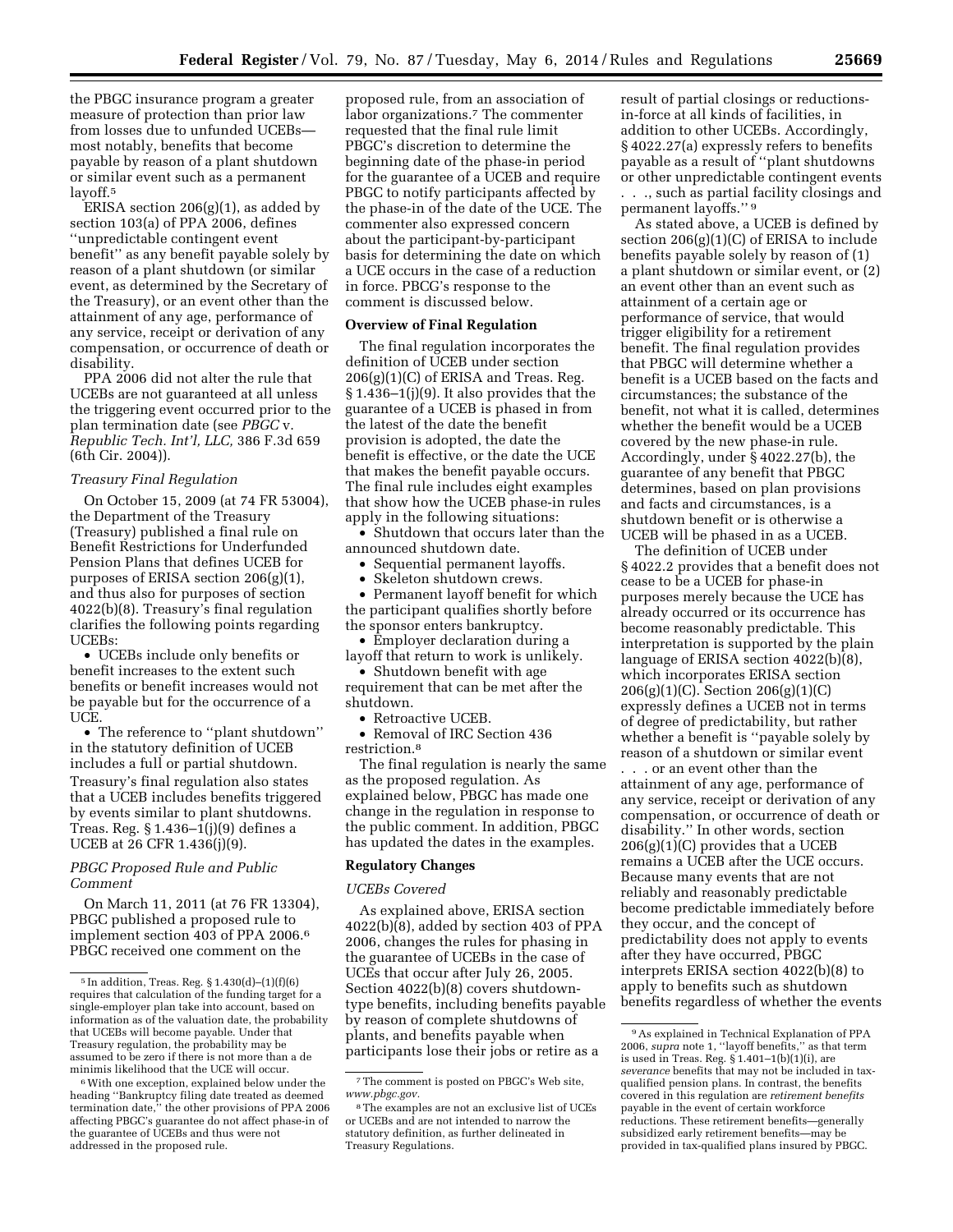the PBGC insurance program a greater measure of protection than prior law from losses due to unfunded UCEBs most notably, benefits that become payable by reason of a plant shutdown or similar event such as a permanent layoff.5

ERISA section 206(g)(1), as added by section 103(a) of PPA 2006, defines ''unpredictable contingent event benefit'' as any benefit payable solely by reason of a plant shutdown (or similar event, as determined by the Secretary of the Treasury), or an event other than the attainment of any age, performance of any service, receipt or derivation of any compensation, or occurrence of death or disability.

PPA 2006 did not alter the rule that UCEBs are not guaranteed at all unless the triggering event occurred prior to the plan termination date (see *PBGC* v. *Republic Tech. Int'l, LLC,* 386 F.3d 659 (6th Cir. 2004)).

### *Treasury Final Regulation*

On October 15, 2009 (at 74 FR 53004), the Department of the Treasury (Treasury) published a final rule on Benefit Restrictions for Underfunded Pension Plans that defines UCEB for purposes of ERISA section 206(g)(1), and thus also for purposes of section 4022(b)(8). Treasury's final regulation clarifies the following points regarding UCEBs:

• UCEBs include only benefits or benefit increases to the extent such benefits or benefit increases would not be payable but for the occurrence of a UCE.

• The reference to ''plant shutdown'' in the statutory definition of UCEB includes a full or partial shutdown. Treasury's final regulation also states that a UCEB includes benefits triggered by events similar to plant shutdowns. Treas. Reg. § 1.436–1(j)(9) defines a UCEB at 26 CFR 1.436(j)(9).

## *PBGC Proposed Rule and Public Comment*

On March 11, 2011 (at 76 FR 13304), PBGC published a proposed rule to implement section 403 of PPA 2006.6 PBGC received one comment on the

proposed rule, from an association of labor organizations.7 The commenter requested that the final rule limit PBGC's discretion to determine the beginning date of the phase-in period for the guarantee of a UCEB and require PBGC to notify participants affected by the phase-in of the date of the UCE. The commenter also expressed concern about the participant-by-participant basis for determining the date on which a UCE occurs in the case of a reduction in force. PBCG's response to the comment is discussed below.

### **Overview of Final Regulation**

The final regulation incorporates the definition of UCEB under section  $206(g)(1)(C)$  of ERISA and Treas. Reg.  $§ 1.436-1(j)(9)$ . It also provides that the guarantee of a UCEB is phased in from the latest of the date the benefit provision is adopted, the date the benefit is effective, or the date the UCE that makes the benefit payable occurs. The final rule includes eight examples that show how the UCEB phase-in rules apply in the following situations:

• Shutdown that occurs later than the announced shutdown date.

• Sequential permanent layoffs.

Skeleton shutdown crews.

• Permanent layoff benefit for which the participant qualifies shortly before the sponsor enters bankruptcy.

• Employer declaration during a layoff that return to work is unlikely.

• Shutdown benefit with age requirement that can be met after the shutdown.

• Retroactive UCEB.

• Removal of IRC Section 436 restriction.8

The final regulation is nearly the same as the proposed regulation. As explained below, PBGC has made one change in the regulation in response to the public comment. In addition, PBGC has updated the dates in the examples.

### **Regulatory Changes**

#### *UCEBs Covered*

As explained above, ERISA section 4022(b)(8), added by section 403 of PPA 2006, changes the rules for phasing in the guarantee of UCEBs in the case of UCEs that occur after July 26, 2005. Section 4022(b)(8) covers shutdowntype benefits, including benefits payable by reason of complete shutdowns of plants, and benefits payable when participants lose their jobs or retire as a

result of partial closings or reductionsin-force at all kinds of facilities, in addition to other UCEBs. Accordingly, § 4022.27(a) expressly refers to benefits payable as a result of ''plant shutdowns or other unpredictable contingent events . . ., such as partial facility closings and permanent layoffs.'' 9

As stated above, a UCEB is defined by section 206(g)(1)(C) of ERISA to include benefits payable solely by reason of (1) a plant shutdown or similar event, or (2) an event other than an event such as attainment of a certain age or performance of service, that would trigger eligibility for a retirement benefit. The final regulation provides that PBGC will determine whether a benefit is a UCEB based on the facts and circumstances; the substance of the benefit, not what it is called, determines whether the benefit would be a UCEB covered by the new phase-in rule. Accordingly, under § 4022.27(b), the guarantee of any benefit that PBGC determines, based on plan provisions and facts and circumstances, is a shutdown benefit or is otherwise a UCEB will be phased in as a UCEB.

The definition of UCEB under § 4022.2 provides that a benefit does not cease to be a UCEB for phase-in purposes merely because the UCE has already occurred or its occurrence has become reasonably predictable. This interpretation is supported by the plain language of ERISA section 4022(b)(8), which incorporates ERISA section 206(g)(1)(C). Section 206(g)(1)(C) expressly defines a UCEB not in terms of degree of predictability, but rather whether a benefit is ''payable solely by reason of a shutdown or similar event

. . . or an event other than the attainment of any age, performance of any service, receipt or derivation of any compensation, or occurrence of death or disability.'' In other words, section  $206(g)(1)(C)$  provides that a UCEB remains a UCEB after the UCE occurs. Because many events that are not reliably and reasonably predictable become predictable immediately before they occur, and the concept of predictability does not apply to events after they have occurred, PBGC interprets ERISA section 4022(b)(8) to apply to benefits such as shutdown benefits regardless of whether the events

<sup>5</sup> In addition, Treas. Reg. § 1.430(d)–(1)(f)(6) requires that calculation of the funding target for a single-employer plan take into account, based on information as of the valuation date, the probability that UCEBs will become payable. Under that Treasury regulation, the probability may be assumed to be zero if there is not more than a de minimis likelihood that the UCE will occur.

<sup>6</sup>With one exception, explained below under the heading ''Bankruptcy filing date treated as deemed termination date,'' the other provisions of PPA 2006 affecting PBGC's guarantee do not affect phase-in of the guarantee of UCEBs and thus were not addressed in the proposed rule.

<sup>7</sup>The comment is posted on PBGC's Web site, *[www.pbgc.gov.](http://www.pbgc.gov)* 

<sup>8</sup>The examples are not an exclusive list of UCEs or UCEBs and are not intended to narrow the statutory definition, as further delineated in Treasury Regulations.

<sup>9</sup>As explained in Technical Explanation of PPA 2006, *supra* note 1, ''layoff benefits,'' as that term is used in Treas. Reg. § 1.401–1(b)(1)(i), are *severance* benefits that may not be included in taxqualified pension plans. In contrast, the benefits covered in this regulation are *retirement benefits*  payable in the event of certain workforce reductions. These retirement benefits—generally subsidized early retirement benefits—may be provided in tax-qualified plans insured by PBGC.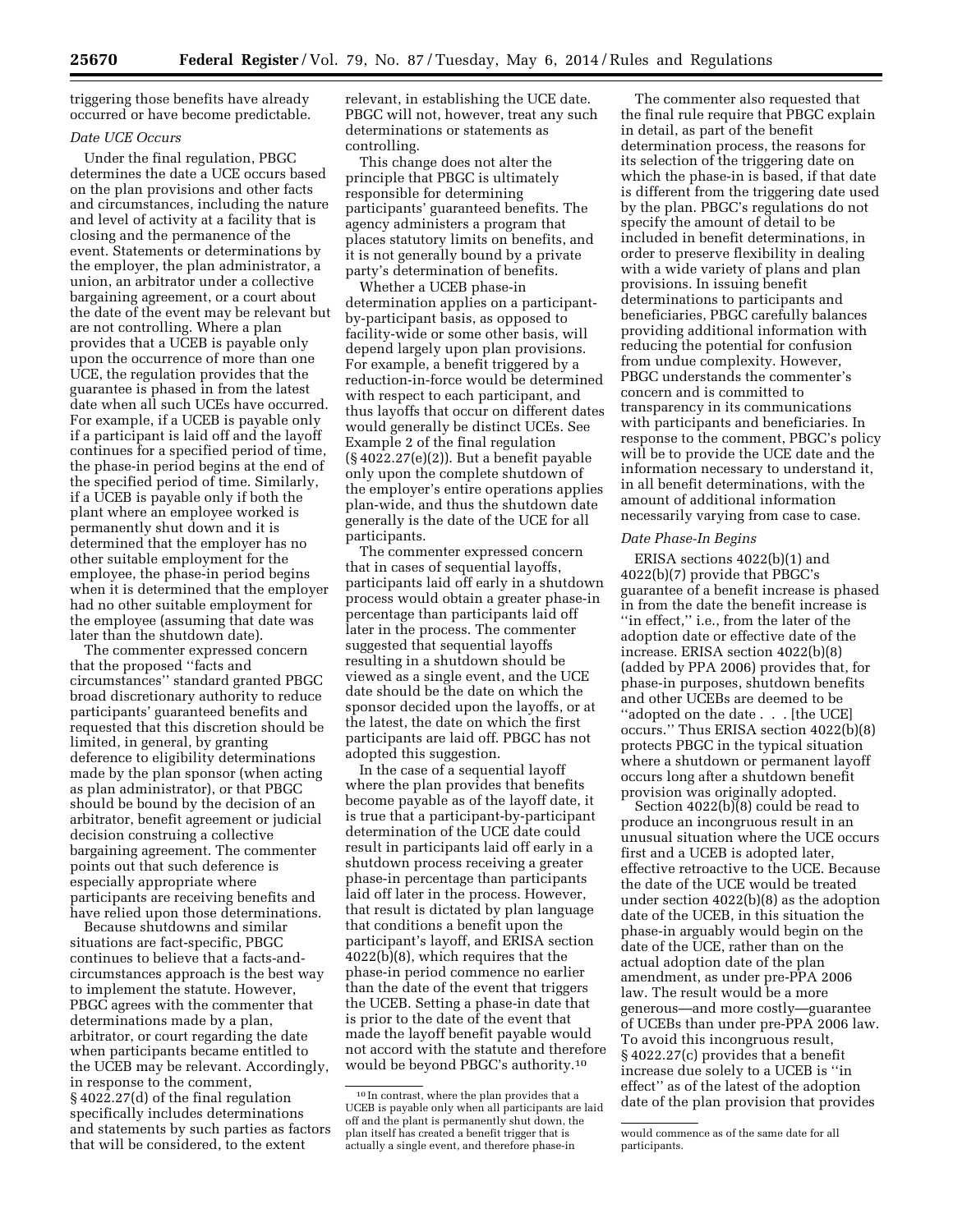triggering those benefits have already occurred or have become predictable.

## *Date UCE Occurs*

Under the final regulation, PBGC determines the date a UCE occurs based on the plan provisions and other facts and circumstances, including the nature and level of activity at a facility that is closing and the permanence of the event. Statements or determinations by the employer, the plan administrator, a union, an arbitrator under a collective bargaining agreement, or a court about the date of the event may be relevant but are not controlling. Where a plan provides that a UCEB is payable only upon the occurrence of more than one UCE, the regulation provides that the guarantee is phased in from the latest date when all such UCEs have occurred. For example, if a UCEB is payable only if a participant is laid off and the layoff continues for a specified period of time, the phase-in period begins at the end of the specified period of time. Similarly, if a UCEB is payable only if both the plant where an employee worked is permanently shut down and it is determined that the employer has no other suitable employment for the employee, the phase-in period begins when it is determined that the employer had no other suitable employment for the employee (assuming that date was later than the shutdown date).

The commenter expressed concern that the proposed ''facts and circumstances'' standard granted PBGC broad discretionary authority to reduce participants' guaranteed benefits and requested that this discretion should be limited, in general, by granting deference to eligibility determinations made by the plan sponsor (when acting as plan administrator), or that PBGC should be bound by the decision of an arbitrator, benefit agreement or judicial decision construing a collective bargaining agreement. The commenter points out that such deference is especially appropriate where participants are receiving benefits and have relied upon those determinations.

Because shutdowns and similar situations are fact-specific, PBGC continues to believe that a facts-andcircumstances approach is the best way to implement the statute. However, PBGC agrees with the commenter that determinations made by a plan, arbitrator, or court regarding the date when participants became entitled to the UCEB may be relevant. Accordingly, in response to the comment, § 4022.27(d) of the final regulation specifically includes determinations and statements by such parties as factors that will be considered, to the extent

relevant, in establishing the UCE date. PBGC will not, however, treat any such determinations or statements as controlling.

This change does not alter the principle that PBGC is ultimately responsible for determining participants' guaranteed benefits. The agency administers a program that places statutory limits on benefits, and it is not generally bound by a private party's determination of benefits.

Whether a UCEB phase-in determination applies on a participantby-participant basis, as opposed to facility-wide or some other basis, will depend largely upon plan provisions. For example, a benefit triggered by a reduction-in-force would be determined with respect to each participant, and thus layoffs that occur on different dates would generally be distinct UCEs. See Example 2 of the final regulation (§ 4022.27(e)(2)). But a benefit payable only upon the complete shutdown of the employer's entire operations applies plan-wide, and thus the shutdown date generally is the date of the UCE for all participants.

The commenter expressed concern that in cases of sequential layoffs, participants laid off early in a shutdown process would obtain a greater phase-in percentage than participants laid off later in the process. The commenter suggested that sequential layoffs resulting in a shutdown should be viewed as a single event, and the UCE date should be the date on which the sponsor decided upon the layoffs, or at the latest, the date on which the first participants are laid off. PBGC has not adopted this suggestion.

In the case of a sequential layoff where the plan provides that benefits become payable as of the layoff date, it is true that a participant-by-participant determination of the UCE date could result in participants laid off early in a shutdown process receiving a greater phase-in percentage than participants laid off later in the process. However, that result is dictated by plan language that conditions a benefit upon the participant's layoff, and ERISA section 4022(b)(8), which requires that the phase-in period commence no earlier than the date of the event that triggers the UCEB. Setting a phase-in date that is prior to the date of the event that made the layoff benefit payable would not accord with the statute and therefore would be beyond PBGC's authority.10

The commenter also requested that the final rule require that PBGC explain in detail, as part of the benefit determination process, the reasons for its selection of the triggering date on which the phase-in is based, if that date is different from the triggering date used by the plan. PBGC's regulations do not specify the amount of detail to be included in benefit determinations, in order to preserve flexibility in dealing with a wide variety of plans and plan provisions. In issuing benefit determinations to participants and beneficiaries, PBGC carefully balances providing additional information with reducing the potential for confusion from undue complexity. However, PBGC understands the commenter's concern and is committed to transparency in its communications with participants and beneficiaries. In response to the comment, PBGC's policy will be to provide the UCE date and the information necessary to understand it, in all benefit determinations, with the amount of additional information necessarily varying from case to case.

#### *Date Phase-In Begins*

ERISA sections 4022(b)(1) and 4022(b)(7) provide that PBGC's guarantee of a benefit increase is phased in from the date the benefit increase is ''in effect,'' i.e., from the later of the adoption date or effective date of the increase. ERISA section 4022(b)(8) (added by PPA 2006) provides that, for phase-in purposes, shutdown benefits and other UCEBs are deemed to be ''adopted on the date . . . [the UCE] occurs.'' Thus ERISA section 4022(b)(8) protects PBGC in the typical situation where a shutdown or permanent layoff occurs long after a shutdown benefit provision was originally adopted.

Section 4022(b)(8) could be read to produce an incongruous result in an unusual situation where the UCE occurs first and a UCEB is adopted later, effective retroactive to the UCE. Because the date of the UCE would be treated under section 4022(b)(8) as the adoption date of the UCEB, in this situation the phase-in arguably would begin on the date of the UCE, rather than on the actual adoption date of the plan amendment, as under pre-PPA 2006 law. The result would be a more generous—and more costly—guarantee of UCEBs than under pre-PPA 2006 law. To avoid this incongruous result, § 4022.27(c) provides that a benefit increase due solely to a UCEB is ''in effect'' as of the latest of the adoption date of the plan provision that provides

<sup>10</sup> In contrast, where the plan provides that a UCEB is payable only when all participants are laid off and the plant is permanently shut down, the plan itself has created a benefit trigger that is actually a single event, and therefore phase-in

would commence as of the same date for all participants.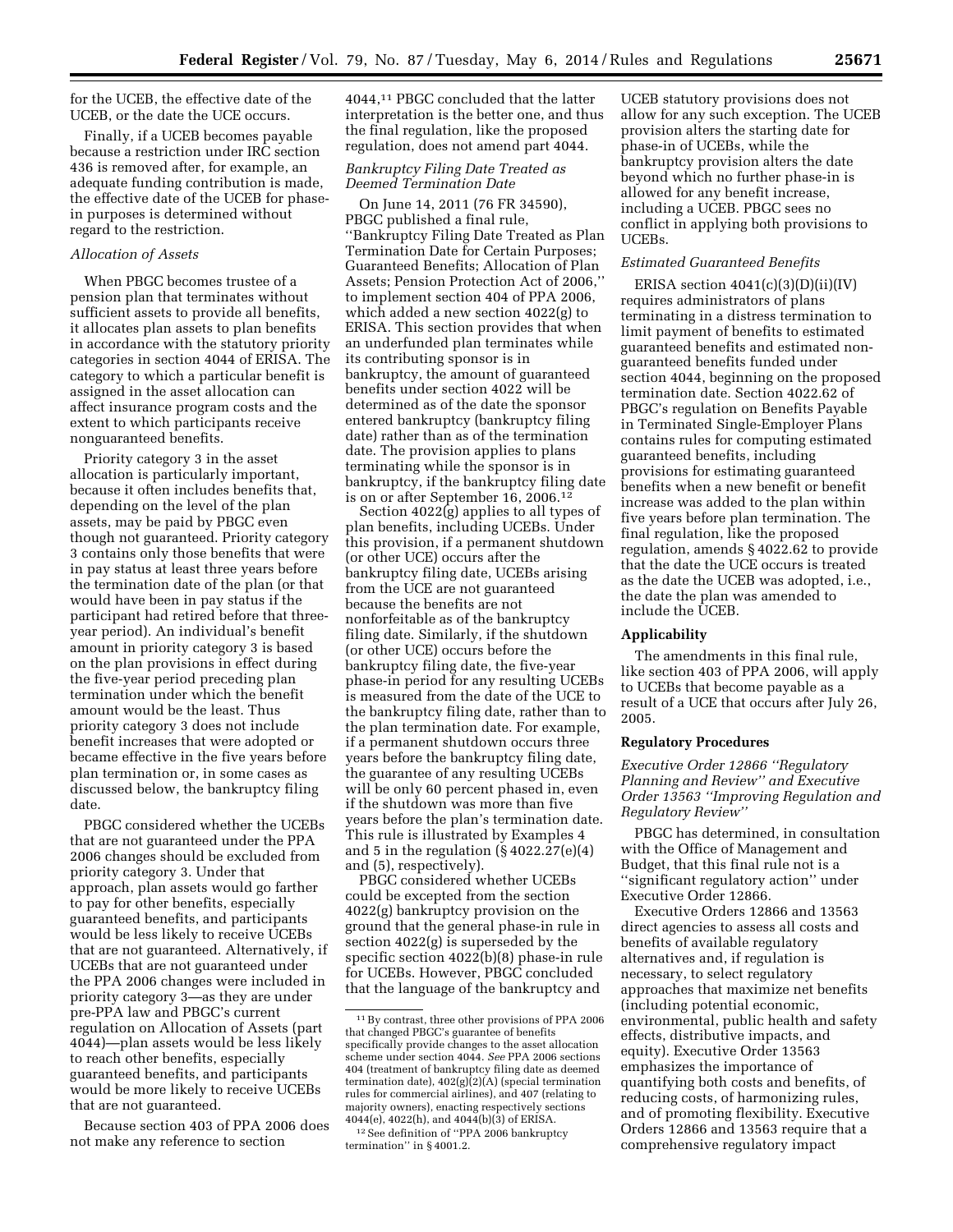for the UCEB, the effective date of the UCEB, or the date the UCE occurs.

Finally, if a UCEB becomes payable because a restriction under IRC section 436 is removed after, for example, an adequate funding contribution is made, the effective date of the UCEB for phasein purposes is determined without regard to the restriction.

## *Allocation of Assets*

When PBGC becomes trustee of a pension plan that terminates without sufficient assets to provide all benefits, it allocates plan assets to plan benefits in accordance with the statutory priority categories in section 4044 of ERISA. The category to which a particular benefit is assigned in the asset allocation can affect insurance program costs and the extent to which participants receive nonguaranteed benefits.

Priority category 3 in the asset allocation is particularly important, because it often includes benefits that, depending on the level of the plan assets, may be paid by PBGC even though not guaranteed. Priority category 3 contains only those benefits that were in pay status at least three years before the termination date of the plan (or that would have been in pay status if the participant had retired before that threeyear period). An individual's benefit amount in priority category 3 is based on the plan provisions in effect during the five-year period preceding plan termination under which the benefit amount would be the least. Thus priority category 3 does not include benefit increases that were adopted or became effective in the five years before plan termination or, in some cases as discussed below, the bankruptcy filing date.

PBGC considered whether the UCEBs that are not guaranteed under the PPA 2006 changes should be excluded from priority category 3. Under that approach, plan assets would go farther to pay for other benefits, especially guaranteed benefits, and participants would be less likely to receive UCEBs that are not guaranteed. Alternatively, if UCEBs that are not guaranteed under the PPA 2006 changes were included in priority category 3—as they are under pre-PPA law and PBGC's current regulation on Allocation of Assets (part 4044)—plan assets would be less likely to reach other benefits, especially guaranteed benefits, and participants would be more likely to receive UCEBs that are not guaranteed.

Because section 403 of PPA 2006 does not make any reference to section

4044,11 PBGC concluded that the latter interpretation is the better one, and thus the final regulation, like the proposed regulation, does not amend part 4044.

## *Bankruptcy Filing Date Treated as Deemed Termination Date*

On June 14, 2011 (76 FR 34590), PBGC published a final rule, ''Bankruptcy Filing Date Treated as Plan Termination Date for Certain Purposes; Guaranteed Benefits; Allocation of Plan Assets; Pension Protection Act of 2006,'' to implement section 404 of PPA 2006, which added a new section 4022(g) to ERISA. This section provides that when an underfunded plan terminates while its contributing sponsor is in bankruptcy, the amount of guaranteed benefits under section 4022 will be determined as of the date the sponsor entered bankruptcy (bankruptcy filing date) rather than as of the termination date. The provision applies to plans terminating while the sponsor is in bankruptcy, if the bankruptcy filing date is on or after September 16, 2006.12

Section 4022(g) applies to all types of plan benefits, including UCEBs. Under this provision, if a permanent shutdown (or other UCE) occurs after the bankruptcy filing date, UCEBs arising from the UCE are not guaranteed because the benefits are not nonforfeitable as of the bankruptcy filing date. Similarly, if the shutdown (or other UCE) occurs before the bankruptcy filing date, the five-year phase-in period for any resulting UCEBs is measured from the date of the UCE to the bankruptcy filing date, rather than to the plan termination date. For example, if a permanent shutdown occurs three years before the bankruptcy filing date, the guarantee of any resulting UCEBs will be only 60 percent phased in, even if the shutdown was more than five years before the plan's termination date. This rule is illustrated by Examples 4 and 5 in the regulation  $(\S 4022.27(e)(4))$ and (5), respectively).

PBGC considered whether UCEBs could be excepted from the section 4022(g) bankruptcy provision on the ground that the general phase-in rule in section 4022(g) is superseded by the specific section 4022(b)(8) phase-in rule for UCEBs. However, PBGC concluded that the language of the bankruptcy and

UCEB statutory provisions does not allow for any such exception. The UCEB provision alters the starting date for phase-in of UCEBs, while the bankruptcy provision alters the date beyond which no further phase-in is allowed for any benefit increase, including a UCEB. PBGC sees no conflict in applying both provisions to UCEBs.

### *Estimated Guaranteed Benefits*

ERISA section  $4041(c)(3)(D)(ii)(IV)$ requires administrators of plans terminating in a distress termination to limit payment of benefits to estimated guaranteed benefits and estimated nonguaranteed benefits funded under section 4044, beginning on the proposed termination date. Section 4022.62 of PBGC's regulation on Benefits Payable in Terminated Single-Employer Plans contains rules for computing estimated guaranteed benefits, including provisions for estimating guaranteed benefits when a new benefit or benefit increase was added to the plan within five years before plan termination. The final regulation, like the proposed regulation, amends § 4022.62 to provide that the date the UCE occurs is treated as the date the UCEB was adopted, i.e., the date the plan was amended to include the UCEB.

#### **Applicability**

The amendments in this final rule, like section 403 of PPA 2006, will apply to UCEBs that become payable as a result of a UCE that occurs after July 26, 2005.

#### **Regulatory Procedures**

*Executive Order 12866 ''Regulatory Planning and Review'' and Executive Order 13563 ''Improving Regulation and Regulatory Review''* 

PBGC has determined, in consultation with the Office of Management and Budget, that this final rule not is a ''significant regulatory action'' under Executive Order 12866.

Executive Orders 12866 and 13563 direct agencies to assess all costs and benefits of available regulatory alternatives and, if regulation is necessary, to select regulatory approaches that maximize net benefits (including potential economic, environmental, public health and safety effects, distributive impacts, and equity). Executive Order 13563 emphasizes the importance of quantifying both costs and benefits, of reducing costs, of harmonizing rules, and of promoting flexibility. Executive Orders 12866 and 13563 require that a comprehensive regulatory impact

<sup>11</sup>By contrast, three other provisions of PPA 2006 that changed PBGC's guarantee of benefits specifically provide changes to the asset allocation scheme under section 4044. *See* PPA 2006 sections 404 (treatment of bankruptcy filing date as deemed termination date),  $402(g)(2)(A)$  (special termination rules for commercial airlines), and 407 (relating to majority owners), enacting respectively sections 4044(e), 4022(h), and 4044(b)(3) of ERISA.

<sup>12</sup>See definition of ''PPA 2006 bankruptcy termination'' in § 4001.2.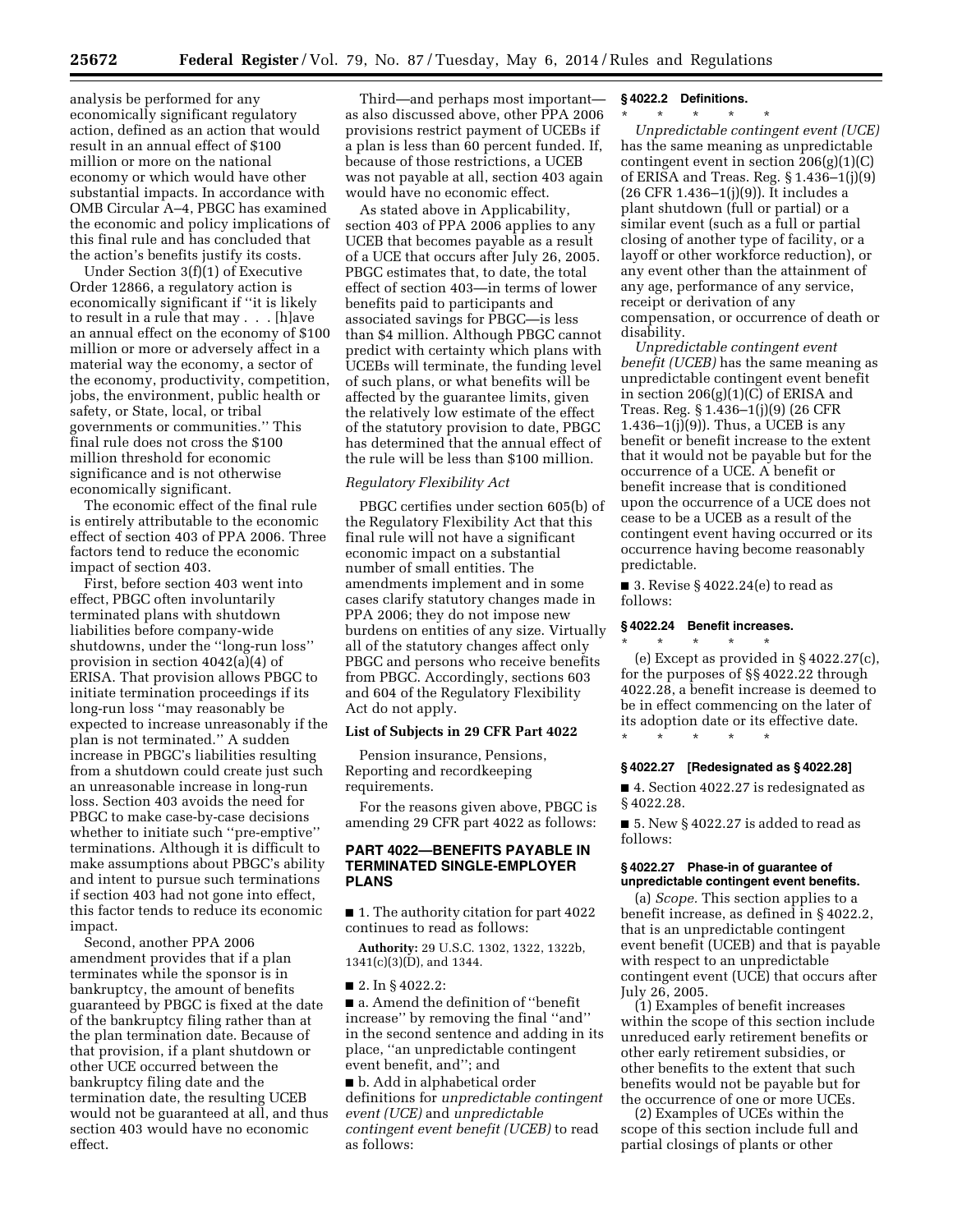analysis be performed for any economically significant regulatory action, defined as an action that would result in an annual effect of \$100 million or more on the national economy or which would have other substantial impacts. In accordance with OMB Circular A–4, PBGC has examined the economic and policy implications of this final rule and has concluded that the action's benefits justify its costs.

Under Section 3(f)(1) of Executive Order 12866, a regulatory action is economically significant if ''it is likely to result in a rule that may . . . [h]ave an annual effect on the economy of \$100 million or more or adversely affect in a material way the economy, a sector of the economy, productivity, competition, jobs, the environment, public health or safety, or State, local, or tribal governments or communities.'' This final rule does not cross the \$100 million threshold for economic significance and is not otherwise economically significant.

The economic effect of the final rule is entirely attributable to the economic effect of section 403 of PPA 2006. Three factors tend to reduce the economic impact of section 403.

First, before section 403 went into effect, PBGC often involuntarily terminated plans with shutdown liabilities before company-wide shutdowns, under the ''long-run loss'' provision in section 4042(a)(4) of ERISA. That provision allows PBGC to initiate termination proceedings if its long-run loss ''may reasonably be expected to increase unreasonably if the plan is not terminated.'' A sudden increase in PBGC's liabilities resulting from a shutdown could create just such an unreasonable increase in long-run loss. Section 403 avoids the need for PBGC to make case-by-case decisions whether to initiate such ''pre-emptive'' terminations. Although it is difficult to make assumptions about PBGC's ability and intent to pursue such terminations if section 403 had not gone into effect, this factor tends to reduce its economic impact.

Second, another PPA 2006 amendment provides that if a plan terminates while the sponsor is in bankruptcy, the amount of benefits guaranteed by PBGC is fixed at the date of the bankruptcy filing rather than at the plan termination date. Because of that provision, if a plant shutdown or other UCE occurred between the bankruptcy filing date and the termination date, the resulting UCEB would not be guaranteed at all, and thus section 403 would have no economic effect.

Third—and perhaps most important as also discussed above, other PPA 2006 provisions restrict payment of UCEBs if a plan is less than 60 percent funded. If, because of those restrictions, a UCEB was not payable at all, section 403 again would have no economic effect.

As stated above in Applicability, section 403 of PPA 2006 applies to any UCEB that becomes payable as a result of a UCE that occurs after July 26, 2005. PBGC estimates that, to date, the total effect of section 403—in terms of lower benefits paid to participants and associated savings for PBGC—is less than \$4 million. Although PBGC cannot predict with certainty which plans with UCEBs will terminate, the funding level of such plans, or what benefits will be affected by the guarantee limits, given the relatively low estimate of the effect of the statutory provision to date, PBGC has determined that the annual effect of the rule will be less than \$100 million.

#### *Regulatory Flexibility Act*

PBGC certifies under section 605(b) of the Regulatory Flexibility Act that this final rule will not have a significant economic impact on a substantial number of small entities. The amendments implement and in some cases clarify statutory changes made in PPA 2006; they do not impose new burdens on entities of any size. Virtually all of the statutory changes affect only PBGC and persons who receive benefits from PBGC. Accordingly, sections 603 and 604 of the Regulatory Flexibility Act do not apply.

### **List of Subjects in 29 CFR Part 4022**

Pension insurance, Pensions, Reporting and recordkeeping requirements.

For the reasons given above, PBGC is amending 29 CFR part 4022 as follows:

### **PART 4022—BENEFITS PAYABLE IN TERMINATED SINGLE-EMPLOYER PLANS**

■ 1. The authority citation for part 4022 continues to read as follows:

**Authority:** 29 U.S.C. 1302, 1322, 1322b, 1341(c)(3)(D), and 1344.

■ 2. In § 4022.2:

■ a. Amend the definition of "benefit increase'' by removing the final ''and'' in the second sentence and adding in its place, ''an unpredictable contingent event benefit, and''; and

■ b. Add in alphabetical order definitions for *unpredictable contingent event (UCE)* and *unpredictable contingent event benefit (UCEB)* to read as follows:

#### **§ 4022.2 Definitions.**

\* \* \* \* \*

*Unpredictable contingent event (UCE)*  has the same meaning as unpredictable contingent event in section 206(g)(1)(C) of ERISA and Treas. Reg. § 1.436–1(j)(9) (26 CFR 1.436–1(j)(9)). It includes a plant shutdown (full or partial) or a similar event (such as a full or partial closing of another type of facility, or a layoff or other workforce reduction), or any event other than the attainment of any age, performance of any service, receipt or derivation of any compensation, or occurrence of death or disability.

*Unpredictable contingent event benefit (UCEB)* has the same meaning as unpredictable contingent event benefit in section 206(g)(1)(C) of ERISA and Treas. Reg. § 1.436–1(j)(9) (26 CFR 1.436 $-1(j)(9)$ ). Thus, a UCEB is any benefit or benefit increase to the extent that it would not be payable but for the occurrence of a UCE. A benefit or benefit increase that is conditioned upon the occurrence of a UCE does not cease to be a UCEB as a result of the contingent event having occurred or its occurrence having become reasonably predictable.

■ 3. Revise § 4022.24(e) to read as follows:

## **§ 4022.24 Benefit increases.**

\* \* \* \* \* (e) Except as provided in § 4022.27(c), for the purposes of §§ 4022.22 through 4022.28, a benefit increase is deemed to be in effect commencing on the later of its adoption date or its effective date.

\* \* \* \* \*

## **§ 4022.27 [Redesignated as § 4022.28]**

■ 4. Section 4022.27 is redesignated as § 4022.28.

 $\blacksquare$  5. New §4022.27 is added to read as follows:

#### **§ 4022.27 Phase-in of guarantee of unpredictable contingent event benefits.**

(a) *Scope.* This section applies to a benefit increase, as defined in § 4022.2, that is an unpredictable contingent event benefit (UCEB) and that is payable with respect to an unpredictable contingent event (UCE) that occurs after July 26, 2005.

(1) Examples of benefit increases within the scope of this section include unreduced early retirement benefits or other early retirement subsidies, or other benefits to the extent that such benefits would not be payable but for the occurrence of one or more UCEs.

(2) Examples of UCEs within the scope of this section include full and partial closings of plants or other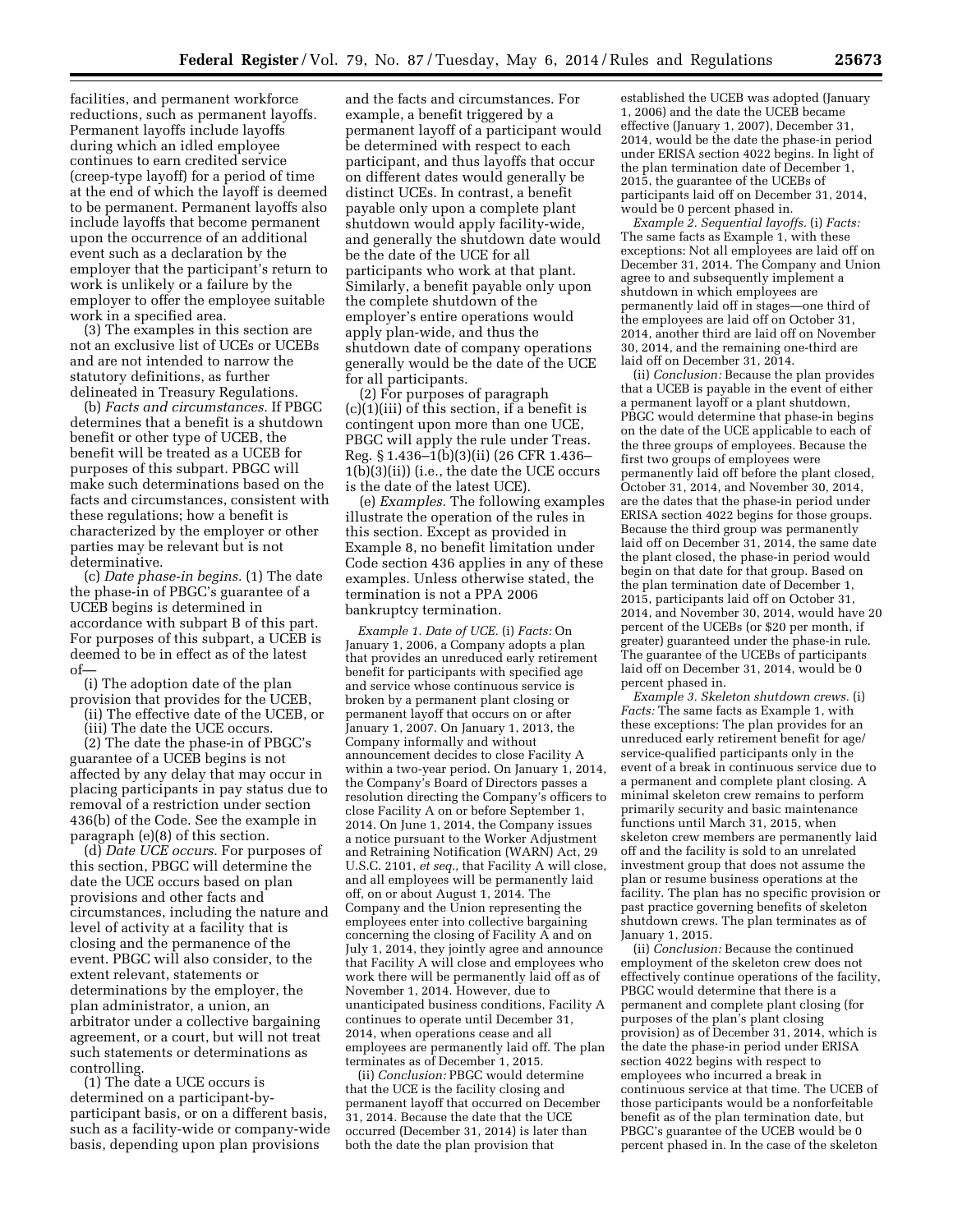facilities, and permanent workforce reductions, such as permanent layoffs. Permanent layoffs include layoffs during which an idled employee continues to earn credited service (creep-type layoff) for a period of time at the end of which the layoff is deemed to be permanent. Permanent layoffs also include layoffs that become permanent upon the occurrence of an additional event such as a declaration by the employer that the participant's return to work is unlikely or a failure by the employer to offer the employee suitable work in a specified area.

(3) The examples in this section are not an exclusive list of UCEs or UCEBs and are not intended to narrow the statutory definitions, as further delineated in Treasury Regulations.

(b) *Facts and circumstances.* If PBGC determines that a benefit is a shutdown benefit or other type of UCEB, the benefit will be treated as a UCEB for purposes of this subpart. PBGC will make such determinations based on the facts and circumstances, consistent with these regulations; how a benefit is characterized by the employer or other parties may be relevant but is not determinative.

(c) *Date phase-in begins.* (1) The date the phase-in of PBGC's guarantee of a UCEB begins is determined in accordance with subpart B of this part. For purposes of this subpart, a UCEB is deemed to be in effect as of the latest of—

(i) The adoption date of the plan provision that provides for the UCEB,

(ii) The effective date of the UCEB, or

(iii) The date the UCE occurs.

(2) The date the phase-in of PBGC's guarantee of a UCEB begins is not affected by any delay that may occur in placing participants in pay status due to removal of a restriction under section 436(b) of the Code. See the example in paragraph (e)(8) of this section.

(d) *Date UCE occurs.* For purposes of this section, PBGC will determine the date the UCE occurs based on plan provisions and other facts and circumstances, including the nature and level of activity at a facility that is closing and the permanence of the event. PBGC will also consider, to the extent relevant, statements or determinations by the employer, the plan administrator, a union, an arbitrator under a collective bargaining agreement, or a court, but will not treat such statements or determinations as controlling.

(1) The date a UCE occurs is determined on a participant-byparticipant basis, or on a different basis, such as a facility-wide or company-wide basis, depending upon plan provisions

and the facts and circumstances. For example, a benefit triggered by a permanent layoff of a participant would be determined with respect to each participant, and thus layoffs that occur on different dates would generally be distinct UCEs. In contrast, a benefit payable only upon a complete plant shutdown would apply facility-wide, and generally the shutdown date would be the date of the UCE for all participants who work at that plant. Similarly, a benefit payable only upon the complete shutdown of the employer's entire operations would apply plan-wide, and thus the shutdown date of company operations generally would be the date of the UCE for all participants.

(2) For purposes of paragraph (c)(1)(iii) of this section, if a benefit is contingent upon more than one UCE, PBGC will apply the rule under Treas. Reg. § 1.436–1(b)(3)(ii) (26 CFR 1.436– 1(b)(3)(ii)) (i.e., the date the UCE occurs is the date of the latest UCE).

(e) *Examples.* The following examples illustrate the operation of the rules in this section. Except as provided in Example 8, no benefit limitation under Code section 436 applies in any of these examples. Unless otherwise stated, the termination is not a PPA 2006 bankruptcy termination.

*Example 1. Date of UCE.* (i) *Facts:* On January 1, 2006, a Company adopts a plan that provides an unreduced early retirement benefit for participants with specified age and service whose continuous service is broken by a permanent plant closing or permanent layoff that occurs on or after January 1, 2007. On January 1, 2013, the Company informally and without announcement decides to close Facility A within a two-year period. On January 1, 2014, the Company's Board of Directors passes a resolution directing the Company's officers to close Facility A on or before September 1, 2014. On June 1, 2014, the Company issues a notice pursuant to the Worker Adjustment and Retraining Notification (WARN) Act, 29 U.S.C. 2101, *et seq.,* that Facility A will close, and all employees will be permanently laid off, on or about August 1, 2014. The Company and the Union representing the employees enter into collective bargaining concerning the closing of Facility A and on July 1, 2014, they jointly agree and announce that Facility A will close and employees who work there will be permanently laid off as of November 1, 2014. However, due to unanticipated business conditions, Facility A continues to operate until December 31, 2014, when operations cease and all employees are permanently laid off. The plan terminates as of December 1, 2015.

(ii) *Conclusion:* PBGC would determine that the UCE is the facility closing and permanent layoff that occurred on December 31, 2014. Because the date that the UCE occurred (December 31, 2014) is later than both the date the plan provision that

established the UCEB was adopted (January 1, 2006) and the date the UCEB became effective (January 1, 2007), December 31, 2014, would be the date the phase-in period under ERISA section 4022 begins. In light of the plan termination date of December 1, 2015, the guarantee of the UCEBs of participants laid off on December 31, 2014, would be 0 percent phased in.

*Example 2. Sequential layoffs.* (i) *Facts:*  The same facts as Example 1, with these exceptions: Not all employees are laid off on December 31, 2014. The Company and Union agree to and subsequently implement a shutdown in which employees are permanently laid off in stages—one third of the employees are laid off on October 31, 2014, another third are laid off on November 30, 2014, and the remaining one-third are laid off on December 31, 2014.

(ii) *Conclusion:* Because the plan provides that a UCEB is payable in the event of either a permanent layoff or a plant shutdown, PBGC would determine that phase-in begins on the date of the UCE applicable to each of the three groups of employees. Because the first two groups of employees were permanently laid off before the plant closed, October 31, 2014, and November 30, 2014, are the dates that the phase-in period under ERISA section 4022 begins for those groups. Because the third group was permanently laid off on December 31, 2014, the same date the plant closed, the phase-in period would begin on that date for that group. Based on the plan termination date of December 1, 2015, participants laid off on October 31, 2014, and November 30, 2014, would have 20 percent of the UCEBs (or \$20 per month, if greater) guaranteed under the phase-in rule. The guarantee of the UCEBs of participants laid off on December 31, 2014, would be 0 percent phased in.

*Example 3. Skeleton shutdown crews.* (i) *Facts:* The same facts as Example 1, with these exceptions: The plan provides for an unreduced early retirement benefit for age/ service-qualified participants only in the event of a break in continuous service due to a permanent and complete plant closing. A minimal skeleton crew remains to perform primarily security and basic maintenance functions until March 31, 2015, when skeleton crew members are permanently laid off and the facility is sold to an unrelated investment group that does not assume the plan or resume business operations at the facility. The plan has no specific provision or past practice governing benefits of skeleton shutdown crews. The plan terminates as of January 1, 2015.

(ii) *Conclusion:* Because the continued employment of the skeleton crew does not effectively continue operations of the facility, PBGC would determine that there is a permanent and complete plant closing (for purposes of the plan's plant closing provision) as of December 31, 2014, which is the date the phase-in period under ERISA section 4022 begins with respect to employees who incurred a break in continuous service at that time. The UCEB of those participants would be a nonforfeitable benefit as of the plan termination date, but PBGC's guarantee of the UCEB would be 0 percent phased in. In the case of the skeleton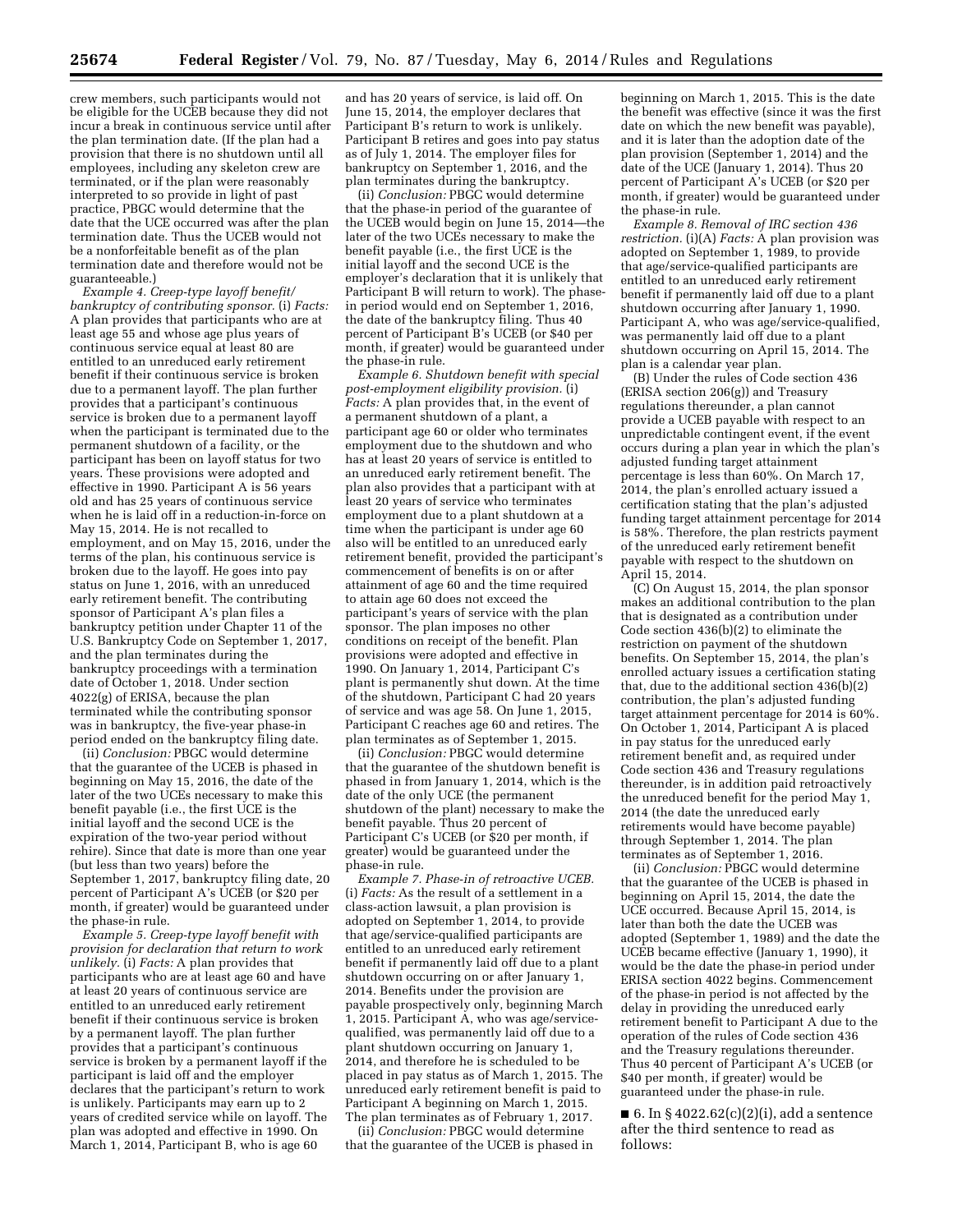crew members, such participants would not be eligible for the UCEB because they did not incur a break in continuous service until after the plan termination date. (If the plan had a provision that there is no shutdown until all employees, including any skeleton crew are terminated, or if the plan were reasonably interpreted to so provide in light of past practice, PBGC would determine that the date that the UCE occurred was after the plan termination date. Thus the UCEB would not be a nonforfeitable benefit as of the plan termination date and therefore would not be guaranteeable.)

*Example 4. Creep-type layoff benefit/ bankruptcy of contributing sponsor.* (i) *Facts:*  A plan provides that participants who are at least age 55 and whose age plus years of continuous service equal at least 80 are entitled to an unreduced early retirement benefit if their continuous service is broken due to a permanent layoff. The plan further provides that a participant's continuous service is broken due to a permanent layoff when the participant is terminated due to the permanent shutdown of a facility, or the participant has been on layoff status for two years. These provisions were adopted and effective in 1990. Participant A is 56 years old and has 25 years of continuous service when he is laid off in a reduction-in-force on May 15, 2014. He is not recalled to employment, and on May 15, 2016, under the terms of the plan, his continuous service is broken due to the layoff. He goes into pay status on June 1, 2016, with an unreduced early retirement benefit. The contributing sponsor of Participant A's plan files a bankruptcy petition under Chapter 11 of the U.S. Bankruptcy Code on September 1, 2017, and the plan terminates during the bankruptcy proceedings with a termination date of October 1, 2018. Under section 4022(g) of ERISA, because the plan terminated while the contributing sponsor was in bankruptcy, the five-year phase-in period ended on the bankruptcy filing date.

(ii) *Conclusion:* PBGC would determine that the guarantee of the UCEB is phased in beginning on May 15, 2016, the date of the later of the two UCEs necessary to make this benefit payable (i.e., the first UCE is the initial layoff and the second UCE is the expiration of the two-year period without rehire). Since that date is more than one year (but less than two years) before the September 1, 2017, bankruptcy filing date, 20 percent of Participant A's UCEB (or \$20 per month, if greater) would be guaranteed under the phase-in rule.

*Example 5. Creep-type layoff benefit with provision for declaration that return to work unlikely.* (i) *Facts:* A plan provides that participants who are at least age 60 and have at least 20 years of continuous service are entitled to an unreduced early retirement benefit if their continuous service is broken by a permanent layoff. The plan further provides that a participant's continuous service is broken by a permanent layoff if the participant is laid off and the employer declares that the participant's return to work is unlikely. Participants may earn up to 2 years of credited service while on layoff. The plan was adopted and effective in 1990. On March 1, 2014, Participant B, who is age 60

and has 20 years of service, is laid off. On June 15, 2014, the employer declares that Participant B's return to work is unlikely. Participant B retires and goes into pay status as of July 1, 2014. The employer files for bankruptcy on September 1, 2016, and the plan terminates during the bankruptcy.

(ii) *Conclusion:* PBGC would determine that the phase-in period of the guarantee of the UCEB would begin on June 15, 2014—the later of the two UCEs necessary to make the benefit payable (i.e., the first UCE is the initial layoff and the second UCE is the employer's declaration that it is unlikely that Participant B will return to work). The phasein period would end on September 1, 2016, the date of the bankruptcy filing. Thus 40 percent of Participant B's UCEB (or \$40 per month, if greater) would be guaranteed under the phase-in rule.

*Example 6. Shutdown benefit with special post-employment eligibility provision.* (i) *Facts:* A plan provides that, in the event of a permanent shutdown of a plant, a participant age 60 or older who terminates employment due to the shutdown and who has at least 20 years of service is entitled to an unreduced early retirement benefit. The plan also provides that a participant with at least 20 years of service who terminates employment due to a plant shutdown at a time when the participant is under age 60 also will be entitled to an unreduced early retirement benefit, provided the participant's commencement of benefits is on or after attainment of age 60 and the time required to attain age 60 does not exceed the participant's years of service with the plan sponsor. The plan imposes no other conditions on receipt of the benefit. Plan provisions were adopted and effective in 1990. On January 1, 2014, Participant C's plant is permanently shut down. At the time of the shutdown, Participant C had 20 years of service and was age 58. On June 1, 2015, Participant C reaches age 60 and retires. The plan terminates as of September 1, 2015.

(ii) *Conclusion:* PBGC would determine that the guarantee of the shutdown benefit is phased in from January 1, 2014, which is the date of the only UCE (the permanent shutdown of the plant) necessary to make the benefit payable. Thus 20 percent of Participant C's UCEB (or \$20 per month, if greater) would be guaranteed under the phase-in rule.

*Example 7. Phase-in of retroactive UCEB.*  (i) *Facts:* As the result of a settlement in a class-action lawsuit, a plan provision is adopted on September 1, 2014, to provide that age/service-qualified participants are entitled to an unreduced early retirement benefit if permanently laid off due to a plant shutdown occurring on or after January 1, 2014. Benefits under the provision are payable prospectively only, beginning March 1, 2015. Participant A, who was age/servicequalified, was permanently laid off due to a plant shutdown occurring on January 1, 2014, and therefore he is scheduled to be placed in pay status as of March 1, 2015. The unreduced early retirement benefit is paid to Participant A beginning on March 1, 2015. The plan terminates as of February 1, 2017.

(ii) *Conclusion:* PBGC would determine that the guarantee of the UCEB is phased in

beginning on March 1, 2015. This is the date the benefit was effective (since it was the first date on which the new benefit was payable), and it is later than the adoption date of the plan provision (September 1, 2014) and the date of the UCE (January 1, 2014). Thus 20 percent of Participant A's UCEB (or \$20 per month, if greater) would be guaranteed under the phase-in rule.

*Example 8. Removal of IRC section 436 restriction.* (i)(A) *Facts:* A plan provision was adopted on September 1, 1989, to provide that age/service-qualified participants are entitled to an unreduced early retirement benefit if permanently laid off due to a plant shutdown occurring after January 1, 1990. Participant A, who was age/service-qualified, was permanently laid off due to a plant shutdown occurring on April 15, 2014. The plan is a calendar year plan.

(B) Under the rules of Code section 436 (ERISA section 206(g)) and Treasury regulations thereunder, a plan cannot provide a UCEB payable with respect to an unpredictable contingent event, if the event occurs during a plan year in which the plan's adjusted funding target attainment percentage is less than 60%. On March 17, 2014, the plan's enrolled actuary issued a certification stating that the plan's adjusted funding target attainment percentage for 2014 is 58%. Therefore, the plan restricts payment of the unreduced early retirement benefit payable with respect to the shutdown on April 15, 2014.

(C) On August 15, 2014, the plan sponsor makes an additional contribution to the plan that is designated as a contribution under Code section 436(b)(2) to eliminate the restriction on payment of the shutdown benefits. On September 15, 2014, the plan's enrolled actuary issues a certification stating that, due to the additional section 436(b)(2) contribution, the plan's adjusted funding target attainment percentage for 2014 is 60%. On October 1, 2014, Participant A is placed in pay status for the unreduced early retirement benefit and, as required under Code section 436 and Treasury regulations thereunder, is in addition paid retroactively the unreduced benefit for the period May 1, 2014 (the date the unreduced early retirements would have become payable) through September 1, 2014. The plan terminates as of September 1, 2016.

(ii) *Conclusion:* PBGC would determine that the guarantee of the UCEB is phased in beginning on April 15, 2014, the date the UCE occurred. Because April 15, 2014, is later than both the date the UCEB was adopted (September 1, 1989) and the date the UCEB became effective (January 1, 1990), it would be the date the phase-in period under ERISA section 4022 begins. Commencement of the phase-in period is not affected by the delay in providing the unreduced early retirement benefit to Participant A due to the operation of the rules of Code section 436 and the Treasury regulations thereunder. Thus 40 percent of Participant A's UCEB (or \$40 per month, if greater) would be guaranteed under the phase-in rule.

■ 6. In § 4022.62(c)(2)(i), add a sentence after the third sentence to read as follows: